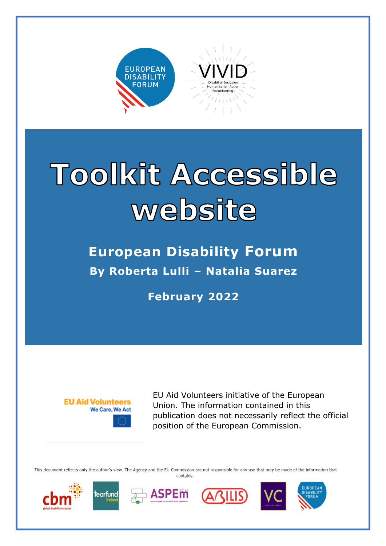

# Toolkit Accessible website

**European Disability Forum By Roberta Lulli – Natalia Suarez** 

**February 2022**



EU Aid Volunteers initiative of the European Union. The information contained in this publication does not necessarily reflect the official position of the European Commission.

This document reflects only the author's view. The Agency and the EU Commission are not responsible for any use that may be made of the information that contains.











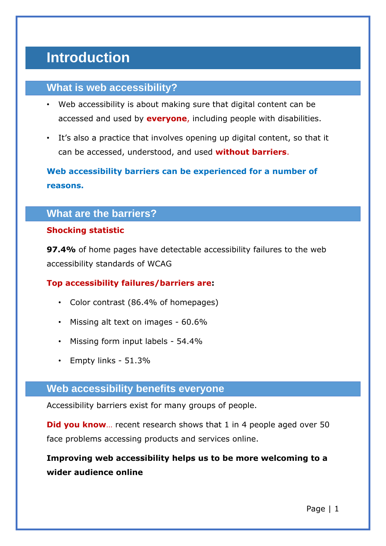# **Introduction**

## **What is web accessibility?**

- Web accessibility is about making sure that digital content can be accessed and used by **everyone**, including people with disabilities.
- It's also a practice that involves opening up digital content, so that it can be accessed, understood, and used **without barriers**.

**Web accessibility barriers can be experienced for a number of reasons.** 

## **What are the barriers?**

#### **Shocking statistic**

**97.4%** of home pages have detectable accessibility failures to the web accessibility standards of WCAG

#### **Top accessibility failures/barriers are:**

- Color contrast (86.4% of homepages)
- Missing alt text on images 60.6%
- Missing form input labels 54.4%
- Empty links 51.3%

#### **Web accessibility benefits everyone**

Accessibility barriers exist for many groups of people.

**Did you know**... recent research shows that 1 in 4 people aged over 50 face problems accessing products and services online.

# **Improving web accessibility helps us to be more welcoming to a wider audience online**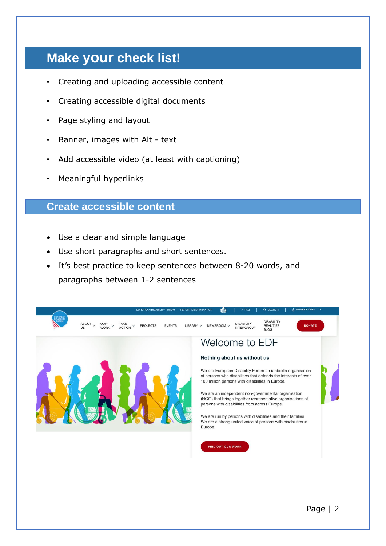# **Make your check list!**

- Creating and uploading accessible content
- Creating accessible digital documents
- Page styling and layout
- Banner, images with Alt text
- Add accessible video (at least with captioning)
- Meaningful hyperlinks

## **Create accessible content**

- Use a clear and simple language
- Use short paragraphs and short sentences.
- It's best practice to keep sentences between 8-20 words, and paragraphs between 1-2 sentences

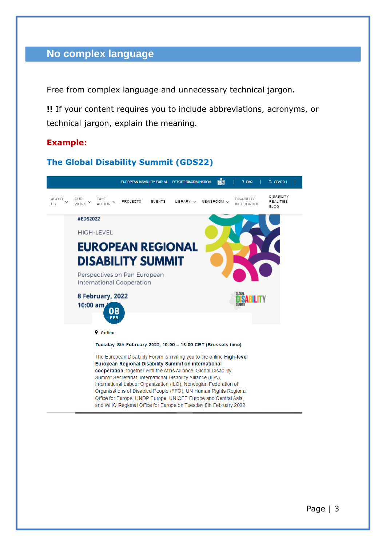## **No complex language**

Free from complex language and unnecessary technical jargon.

**!!** If your content requires you to include abbreviations, acronyms, or technical jargon, explain the meaning.

#### **Example:**

#### **The Global Disability Summit (GDS22)**

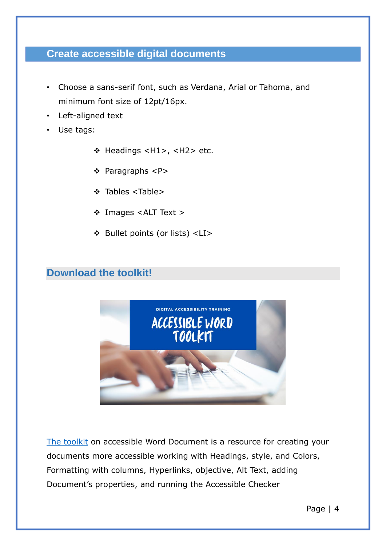## **Create accessible digital documents**

- Choose a sans-serif font, such as Verdana, Arial or Tahoma, and minimum font size of 12pt/16px.
- Left-aligned text
- Use tags:
	- ❖ Headings <H1>, <H2> etc.
	- ❖ Paragraphs <P>
	- ❖ Tables <Table>
	- ❖ Images <ALT Text >
	- ❖ Bullet points (or lists) <LI>

#### **Download the toolkit!**



[The toolkit](https://www.edf-feph.org/publications/digital-accessibility-training-session-1-making-word-documents-accessible/) on accessible Word Document is a resource for creating your documents more accessible working with Headings, style, and Colors, Formatting with columns, Hyperlinks, objective, Alt Text, adding Document's properties, and running the Accessible Checker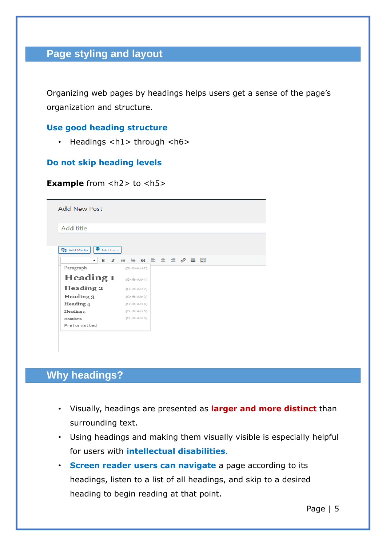# **Page styling and layout**

Organizing web pages by headings helps users get a sense of the page's organization and structure.

#### **Use good heading structure**

• Headings  $\langle h1 \rangle$  through  $\langle h6 \rangle$ 

#### **Do not skip heading levels**

#### **Example** from <h2> to <h5>

| <b>Add New Post</b>        |                      |  |  |                          |
|----------------------------|----------------------|--|--|--------------------------|
| Add title                  |                      |  |  |                          |
|                            |                      |  |  |                          |
| Add Form<br>91 Add Media   |                      |  |  |                          |
| в<br>I<br>$\blacktriangle$ | <b>日日 ← 日日 日 ∂ 国</b> |  |  | $\frac{300000}{[24277]}$ |
| Paragraph                  | (Shift+Alt+7)        |  |  |                          |
| <b>Heading 1</b>           | (Shift+Alt+1)        |  |  |                          |
| Heading 2                  | (Shift+Alt+2)        |  |  |                          |
| Heading 3                  | (Shift+Alt+3)        |  |  |                          |
| Heading $4$                | (Shift+Alt+4)        |  |  |                          |
| Heading <sub>5</sub>       | $(Shift+Att+5)$      |  |  |                          |
| Heading 6                  | (Shift+Alt+6)        |  |  |                          |
| Preformatted               |                      |  |  |                          |
|                            |                      |  |  |                          |

# **Why headings?**

- Visually, headings are presented as **larger and more distinct** than surrounding text.
- Using headings and making them visually visible is especially helpful for users with **intellectual disabilities**.
- **Screen reader users can navigate** a page according to its headings, listen to a list of all headings, and skip to a desired heading to begin reading at that point.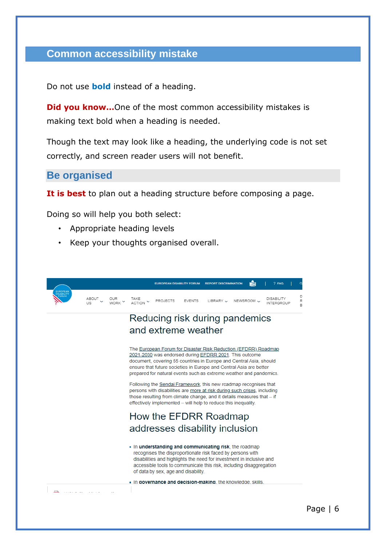#### **Common accessibility mistake**

Do not use **bold** instead of a heading.

**Did you know...**One of the most common accessibility mistakes is making text bold when a heading is needed.

Though the text may look like a heading, the underlying code is not set correctly, and screen reader users will not benefit.

**Be organised**

**It is best** to plan out a heading structure before composing a page.

Doing so will help you both select:

- Appropriate heading levels
- Keep your thoughts organised overall.

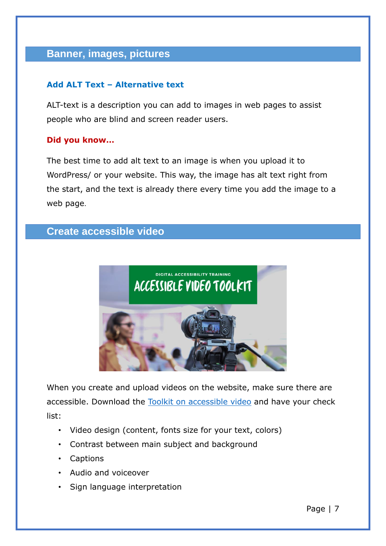# **Banner, images, pictures**

#### **Add ALT Text – Alternative text**

ALT-text is a description you can add to images in web pages to assist people who are blind and screen reader users.

#### **Did you know…**

The best time to add alt text to an image is when you upload it to WordPress/ or your website. This way, the image has alt text right from the start, and the text is already there every time you add the image to a web page.

# **Create accessible video**



When you create and upload videos on the website, make sure there are accessible. Download the [Toolkit on accessible video](https://www.edf-feph.org/publications/accessible-video-toolkit-digital-accessibility-training-session-5/) and have your check list:

- Video design (content, fonts size for your text, colors)
- Contrast between main subject and background
- Captions
- Audio and voiceover
- Sign language interpretation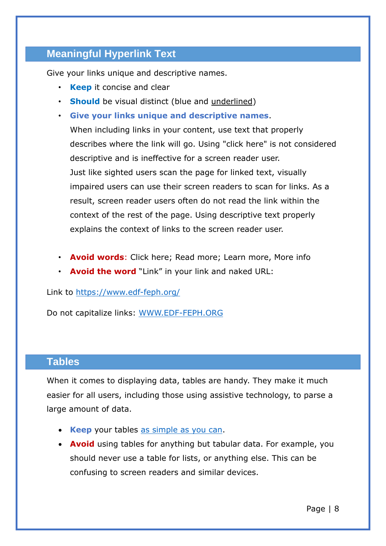# **Meaningful Hyperlink Text**

Give your links unique and descriptive names.

- **Keep** it concise and clear
- **Should** be visual distinct (blue and underlined)
- **Give your links unique and descriptive names**.

When including links in your content, use text that properly describes where the link will go. Using "click here" is not considered descriptive and is ineffective for a screen reader user. Just like sighted users scan the page for linked text, visually impaired users can use their screen readers to scan for links. As a result, screen reader users often do not read the link within the context of the rest of the page. Using descriptive text properly explains the context of links to the screen reader user.

- **Avoid words**: Click here; Read more; Learn more, More info
- **Avoid the word** "Link" in your link and naked URL:

Link to<https://www.edf-feph.org/>

Do not capitalize links: [WWW.EDF-FEPH.ORG](http://www.edf-feph.org/)

#### **Tables**

When it comes to displaying data, tables are handy. They make it much easier for all users, including those using assistive technology, to parse a large amount of data.

- **Keep** your tables [as simple as you can.](https://make.wordpress.org/accessibility/handbook/markup/tables/)
- **Avoid** using tables for anything but tabular data. For example, you should never use a table for lists, or anything else. This can be confusing to screen readers and similar devices.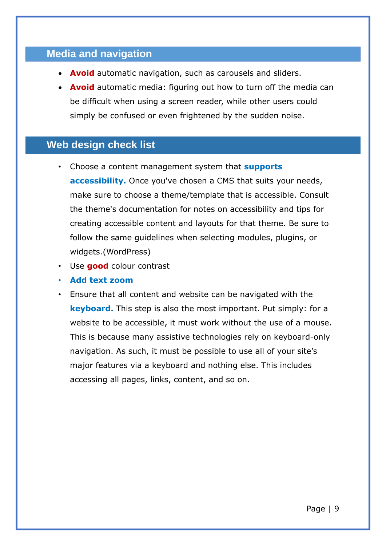# **Media and navigation**

- **Avoid** automatic navigation, such as carousels and sliders.
- **Avoid** automatic media: figuring out how to turn off the media can be difficult when using a screen reader, while other users could simply be confused or even frightened by the sudden noise.

# **Web design check list**

- Choose a content management system that **supports accessibility.** Once you've chosen a CMS that suits your needs, make sure to choose a theme/template that is accessible. Consult the theme's documentation for notes on accessibility and tips for creating accessible content and layouts for that theme. Be sure to follow the same guidelines when selecting modules, plugins, or widgets.(WordPress)
- Use **good** colour contrast
- **Add text zoom**
- Ensure that all content and website can be navigated with the **keyboard.** This step is also the most important. Put simply: for a website to be accessible, it must work without the use of a mouse. This is because many assistive technologies rely on keyboard-only navigation. As such, it must be possible to use all of your site's major features via a keyboard and nothing else. This includes accessing all pages, links, content, and so on.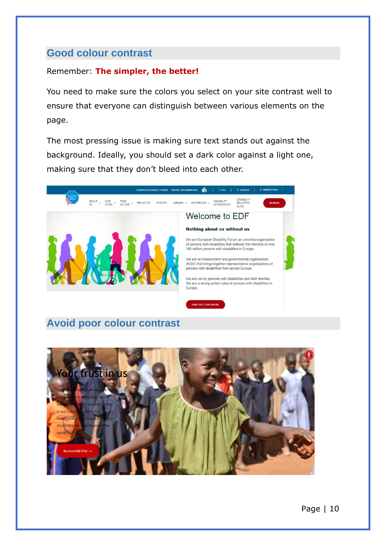### **Good colour contrast**

#### Remember: **The simpler, the better!**

You need to make sure the colors you select on your site contrast well to ensure that everyone can distinguish between various elements on the page.

The most pressing issue is making sure text stands out against the background. Ideally, you should set a dark color against a light one, making sure that they don't bleed into each other.



# **Avoid poor colour contrast**

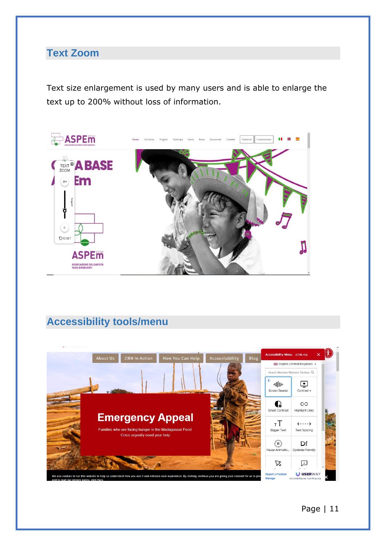# **Text Zoom**

Text size enlargement is used by many users and is able to enlarge the text up to 200% without loss of information.



# **Accessibility tools/menu**

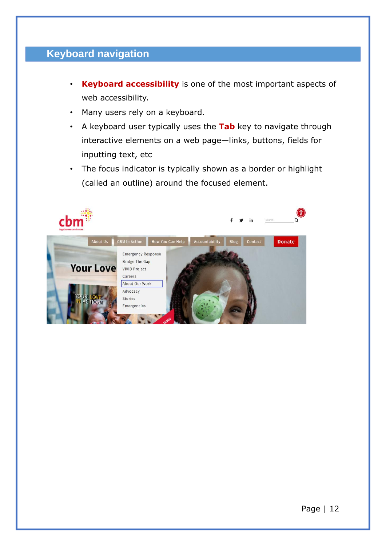# **Keyboard navigation**

- **Keyboard accessibility** is one of the most important aspects of web accessibility.
- Many users rely on a keyboard.
- A keyboard user typically uses the **Tab** key to navigate through interactive elements on a web page—links, buttons, fields for inputting text, etc
- The focus indicator is typically shown as a border or highlight (called an outline) around the focused element.